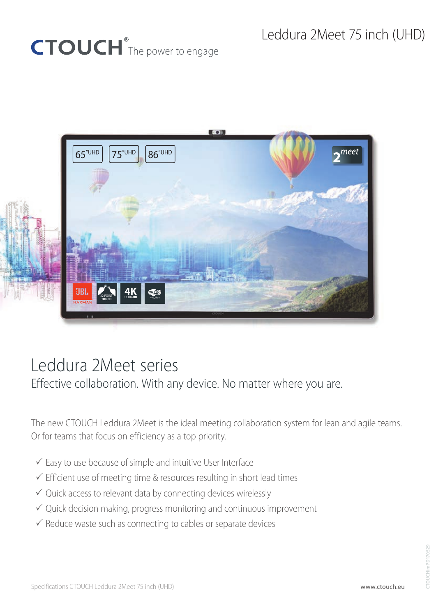# CTOUCH<sup>®</sup>The power to engage



## Leddura 2Meet series

Effective collaboration. With any device. No matter where you are.

The new CTOUCH Leddura 2Meet is the ideal meeting collaboration system for lean and agile teams. Or for teams that focus on efficiency as a top priority.

- $\checkmark$  Easy to use because of simple and intuitive User Interface
- $\checkmark$  Efficient use of meeting time & resources resulting in short lead times
- $\checkmark$  Quick access to relevant data by connecting devices wirelessly
- $\checkmark$  Quick decision making, progress monitoring and continuous improvement
- $\checkmark$  Reduce waste such as connecting to cables or separate devices